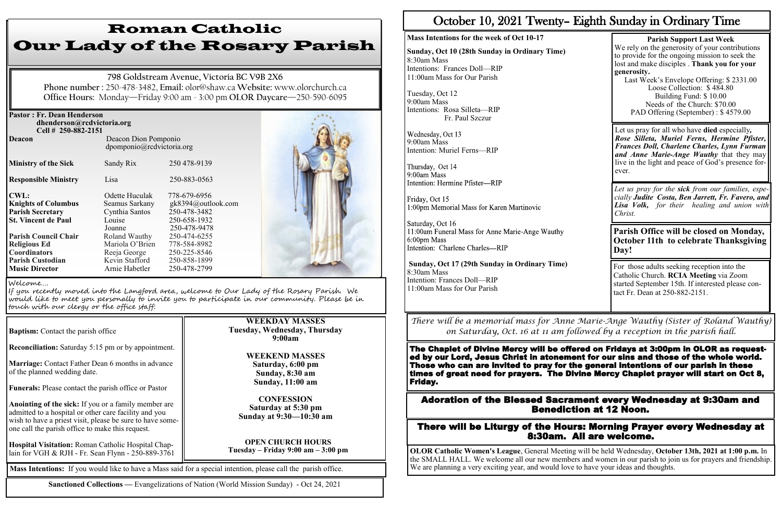| <b>Pastor: Fr. Dean Henderson</b><br>dhenderson@rcdvictoria.org<br>Cell # 250-882-2151 |                                                   |                    |  |
|----------------------------------------------------------------------------------------|---------------------------------------------------|--------------------|--|
| <b>Deacon</b>                                                                          | Deacon Dion Pomponio<br>dpomponio@rcdvictoria.org |                    |  |
| <b>Ministry of the Sick</b>                                                            | Sandy Rix                                         | 250 478-9139       |  |
| <b>Responsible Ministry</b>                                                            | Lisa                                              | 250-883-0563       |  |
| <b>CWL:</b>                                                                            | Odette Huculak                                    | 778-679-6956       |  |
| <b>Knights of Columbus</b>                                                             | Seamus Sarkany                                    | gk8394@outlook.com |  |
| <b>Parish Secretary</b>                                                                | Cynthia Santos                                    | 250-478-3482       |  |
| <b>St. Vincent de Paul</b>                                                             | Louise                                            | 250-658-1932       |  |
|                                                                                        | Joanne                                            | 250-478-9478       |  |
| <b>Parish Council Chair</b>                                                            | Roland Wauthy                                     | 250-474-6255       |  |
| <b>Religious Ed</b>                                                                    | Mariola O'Brien                                   | 778-584-8982       |  |
| <b>Coordinators</b>                                                                    | Reeja George                                      | 250-225-8546       |  |
| <b>Parish Custodian</b>                                                                | Kevin Stafford                                    | 250-858-1899       |  |
| <b>Music Director</b>                                                                  | Arnie Habetler                                    | 250-478-2799       |  |



**Reconciliation:** Saturday 5:15 pm or by appointment.

**Marriage:** Contact Father Dean 6 months in advance of the planned wedding date.

**Funerals:** Please contact the parish office or Pastor

**Anointing of the sick:** If you or a family member are admitted to a hospital or other care facility and you wish to have a priest visit, please be sure to have someone call the parish office to make this request.

**Hospital Visitation:** Roman Catholic Hospital Chaplain for VGH & RJH - Fr. Sean Flynn - 250-889-3761

# Roman Catholic Our Lady of the Rosary Parish

Wednesday, Oct 13 9:00am Mass Intention: Muriel Ferns—RIP

Thursday, Oct 14 9:00am Mass Intention: Hermine Pfister-RIP

Friday, Oct 15 1:00pm Memorial Mass for Karen Martinovic

Saturday, Oct 16 11:00am Funeral Mass for Anne Marie-Ange Wauthy 6:00pm Mass Intention: Charlene Charles-RIP

**798 Goldstream Avenue, Victoria BC V9B 2X6 Phone number :** 250-478-3482, **Email:** olor@shaw.ca **Website:** www.olorchurch.ca **Office Hours:** Monday—Friday 9:00 am - 3:00 pm **OLOR Daycare**—250-590-6095

## **WEEKDAY MASSES Tuesday, Wednesday, Thursday 9:00am**

**WEEKEND MASSES Saturday, 6:00 pm Sunday, 8:30 am Sunday, 11:00 am** 

**CONFESSION Saturday at 5:30 pm Sunday at 9:30—10:30 am**

**OPEN CHURCH HOURS Tuesday – Friday 9:00 am – 3:00 pm**

#### Welcome….

If you recently moved into the Langford area, welcome to Our Lady of the Rosary Parish. We would like to meet you personally to invite you to participate in our community. Please be in touch with our clergy or the office staff:

**Baptism:** Contact the parish office

**Mass Intentions:** If you would like to have a Mass said for a special intention, please call the parish office.

**Sanctioned Collections —** Evangelizations of Nation (World Mission Sunday) - Oct 24, 2021

# October 10, 2021 Twenty– Eighth Sunday in Ordinary Time

# **Mass Intentions for the week of Oct 10-17**

**Sunday, Oct 10 (28th Sunday in Ordinary Time)** 8:30am Mass Intentions: Frances Doll—RIP 11:00am Mass for Our Parish

Tuesday, Oct 12 9:00am Mass Intentions: Rosa Silleta—RIP Fr. Paul Szczur

**Sunday, Oct 17 (29th Sunday in Ordinary Time)** 8:30am Mass Intention: Frances Doll—RIP 11:00am Mass for Our Parish

**Parish Support Last Week**  We rely on the generosity of your contributions to provide for the ongoing mission to seek the lost and make disciples . **Thank you for your generosity.**

Last Week's Envelope Offering: \$ 2331.00 Loose Collection: \$ 484.80 Building Fund: \$ 10.00 Needs of the Church: \$70.00 PAD Offering (September) : \$ 4579.00

For those adults seeking reception into the Catholic Church. **RCIA Meeting** via Zoom started September 15th. If interested please contact Fr. Dean at 250-882-2151.

*Let us pray for the sick from our families, especially Judite Costa, Ben Jarrett, Fr. Favero, and Lisa Volk, for their healing and union with Christ.*

Adoration of the Blessed Sacrament every Wednesday at 9:30am and Benediction at 12 Noon.

There will be Liturgy of the Hours: Morning Prayer every Wednesday at 8:30am. All are welcome.

**OLOR Catholic Women's League**, General Meeting will be held Wednesday, **October 13th, 2021 at 1:00 p.m.** In the SMALL HALL. We welcome all our new members and women in our parish to join us for prayers and friendship. We are planning a very exciting year, and would love to have your ideas and thoughts.

Let us pray for all who have **died** especially*, Rose Silleta, Muriel Ferns, Hermine Pfister, Frances Doll, Charlene Charles, Lynn Furman and Anne Marie-Ange Wauthy* that they may live in the light and peace of God's presence forever.

**Parish Office will be closed on Monday, October 11th to celebrate Thanksgiving Day!**

*There will be a memorial mass for Anne Marie-Ange Wauthy (Sister of Roland Wauthy) on Saturday, Oct. 16 at 11 am followed by a reception in the parish hall.* 

The Chaplet of Divine Mercy will be offered on Fridays at 3:00pm in OLOR as requested by our Lord, Jesus Christ in atonement for our sins and those of the whole world. Those who can are invited to pray for the general intentions of our parish in these times of great need for prayers. The Divine Mercy Chaplet prayer will start on Oct 8, Friday.